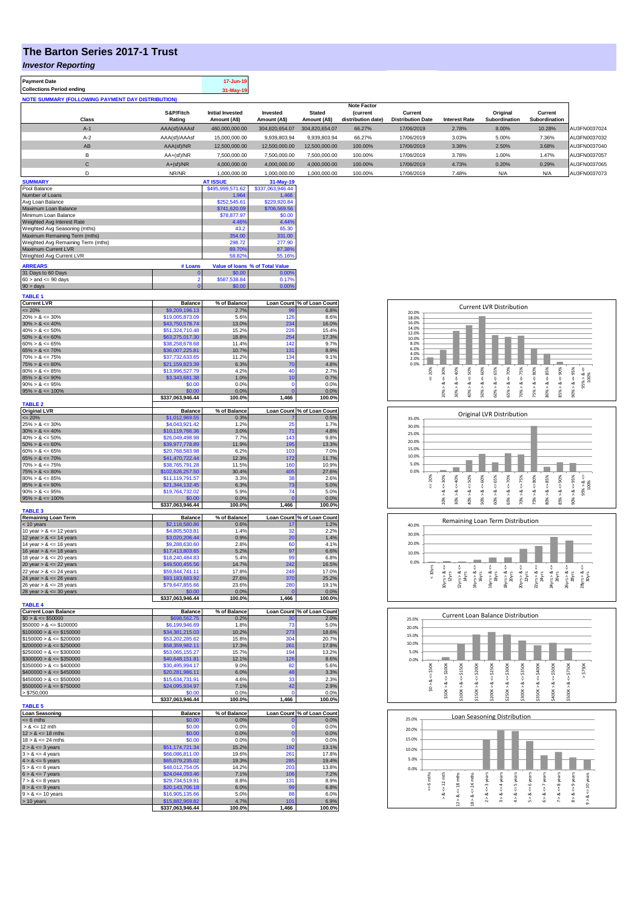## **The Barton Series 2017-1 Trust**

*Investor Reporting*

| <b>Payment Date</b><br><b>Collections Period ending</b>             |                                    | 17-Jun-19<br>31-May-19              |                                 |                               |                                |                          |                                                                                     |                                                                   |                                                                 |                                         |
|---------------------------------------------------------------------|------------------------------------|-------------------------------------|---------------------------------|-------------------------------|--------------------------------|--------------------------|-------------------------------------------------------------------------------------|-------------------------------------------------------------------|-----------------------------------------------------------------|-----------------------------------------|
| NOTE SUMMARY (FOLLOWING PAYMENT DAY DISTRIBUTION)                   |                                    |                                     |                                 |                               |                                |                          |                                                                                     |                                                                   |                                                                 |                                         |
|                                                                     |                                    | <b>Initial Invested</b>             |                                 |                               | <b>Note Factor</b>             | Current                  |                                                                                     |                                                                   |                                                                 |                                         |
| Class                                                               | S&P/Fitch<br>Rating                | Amount (A\$)                        | Invested<br>Amount (A\$)        | <b>Stated</b><br>Amount (A\$) | (current<br>distribution date) | <b>Distribution Date</b> | <b>Interest Rate</b>                                                                | Original<br>Subordination                                         | Current<br>Subordination                                        |                                         |
| $A-1$                                                               | AAA(sf)/AAAsf                      | 460,000,000.00                      | 304,820,654.07                  | 304,820,654.07                | 66.27%                         | 17/06/2019               | 2.78%                                                                               | 8.00%                                                             | 10.28%                                                          | AU3FN0037024                            |
| $A-2$                                                               | AAA(sf)/AAAsf                      | 15,000,000.00                       | 9,939,803.94                    | 9,939,803.94                  | 66.27%                         | 17/06/2019               | 3.03%                                                                               | 5.00%                                                             | 7.36%                                                           | AU3FN0037032                            |
| AB                                                                  | AAA(sf)/NR                         | 12,500,000.00                       | 12,500,000.00                   | 12,500,000.00                 | 100.00%                        | 17/06/2019               | 3.38%                                                                               | 2.50%                                                             | 3.68%                                                           | AU3FN0037040                            |
| в                                                                   | AA+(sf)/NR                         | 7,500,000.00                        | 7,500,000.00                    | 7,500,000.00                  | 100.00%                        | 17/06/2019               | 3.78%                                                                               | 1.00%                                                             | 1.47%                                                           | AU3FN0037057                            |
| $\mathbf C$                                                         | $A+(sf)/NR$                        | 4,000,000.00                        | 4,000,000.00                    | 4,000,000.00                  | 100.00%                        | 17/06/2019               | 4.73%                                                                               | 0.20%                                                             | 0.29%                                                           | AU3FN0037065                            |
| D                                                                   | NR/NR                              | 1,000,000.00                        | 1,000,000.00                    | 1,000,000.00                  | 100.00%                        | 17/06/2019               | 7.48%                                                                               | N/A                                                               | N/A                                                             | AU3FN0037073                            |
| <b>SUMMARY</b><br>Pool Balance                                      |                                    | <b>AT ISSUE</b><br>\$495,999,571.62 | 31-May-19<br>\$337,063,946.44   |                               |                                |                          |                                                                                     |                                                                   |                                                                 |                                         |
| Number of Loans                                                     |                                    | 1,964                               | 1,466                           |                               |                                |                          |                                                                                     |                                                                   |                                                                 |                                         |
| Avg Loan Balance                                                    |                                    | \$252,545.61                        | \$229,920.84                    |                               |                                |                          |                                                                                     |                                                                   |                                                                 |                                         |
| Maximum Loan Balance<br>Minimum Loan Balance                        |                                    | \$741,620.09<br>\$78,877.97         | \$706,569,56<br>\$0.00          |                               |                                |                          |                                                                                     |                                                                   |                                                                 |                                         |
| Weighted Avg Interest Rate                                          |                                    | 4.46%                               | 4.44%                           |                               |                                |                          |                                                                                     |                                                                   |                                                                 |                                         |
| Weighted Avg Seasoning (mths)                                       |                                    | 43.2                                | 65.30                           |                               |                                |                          |                                                                                     |                                                                   |                                                                 |                                         |
| Maximum Remaining Term (mths)<br>Weighted Avg Remaining Term (mths) |                                    | 354.00<br>298.72                    | 331.00<br>277.90                |                               |                                |                          |                                                                                     |                                                                   |                                                                 |                                         |
| Maximum Current LVR                                                 |                                    | 89.70%                              | 87.389                          |                               |                                |                          |                                                                                     |                                                                   |                                                                 |                                         |
| Weighted Avg Current LVR                                            |                                    | 58.829                              | 55.16%                          |                               |                                |                          |                                                                                     |                                                                   |                                                                 |                                         |
| <b>ARREARS</b>                                                      | # Loans                            |                                     | Value of loans % of Total Value |                               |                                |                          |                                                                                     |                                                                   |                                                                 |                                         |
| 31 Days to 60 Days<br>$60 >$ and $<= 90$ days                       | 2                                  | \$0.00<br>\$587,538.84              | 0.00%<br>0.17%                  |                               |                                |                          |                                                                                     |                                                                   |                                                                 |                                         |
| $90 > \text{days}$                                                  |                                    | \$0.00                              | 0.00%                           |                               |                                |                          |                                                                                     |                                                                   |                                                                 |                                         |
| <b>TABLE 1</b>                                                      |                                    |                                     |                                 |                               |                                |                          |                                                                                     |                                                                   |                                                                 |                                         |
| <b>Current LVR</b>                                                  | <b>Balance</b>                     | % of Balance                        |                                 | Loan Count % of Loan Count    |                                |                          |                                                                                     | <b>Current LVR Distribution</b>                                   |                                                                 |                                         |
| $= 20%$<br>$20\% > 8 \le 30\%$                                      | \$9,209,196.13                     | 2.7%                                |                                 | 6.8%                          |                                | 20.0%                    |                                                                                     |                                                                   |                                                                 |                                         |
| $30\% > 8 \le 40\%$                                                 | \$19,005,873.09<br>\$43,750,578.74 | 5.6%<br>13.0%                       | 126<br>234                      | 8.6%<br>16.0%                 |                                | 18.0%<br>16.0%           |                                                                                     |                                                                   |                                                                 |                                         |
| $40\% > 8 \le 50\%$                                                 | \$51,324,710.48                    | 15.2%                               | 226                             | 15.4%                         |                                | 14.0%<br>12.0%           |                                                                                     |                                                                   |                                                                 |                                         |
| $50\% > 8 \le 60\%$                                                 | \$63,275,017.30                    | 18.8%                               | 254                             | 17.3%                         |                                | 10.0%                    |                                                                                     |                                                                   |                                                                 |                                         |
| $60\% > 8 \le 65\%$<br>$65\% > 8 \le 70\%$                          | \$38,258,678.68<br>\$36,007,225.81 | 11.4%<br>10.7%                      | 142<br>131                      | 9.7%<br>8.9%                  |                                | 8.0%<br>6.0%             |                                                                                     |                                                                   |                                                                 |                                         |
| $70\% > 8 \le 75\%$                                                 | \$37,732,633.65                    | 11.2%                               | 134                             | 9.1%                          |                                | 4.0%<br>2.0%             |                                                                                     |                                                                   |                                                                 |                                         |
| $75\% > 8 \le 80\%$                                                 | \$21,159,823.39                    | 6.3%                                | 70                              | 4.8%                          |                                | 0.0%                     |                                                                                     |                                                                   |                                                                 |                                         |
| $80\% > 8 \le 85\%$<br>$85\% > 8 \le 90\%$                          | \$13,996,527.79<br>\$3,343,681.38  | 4.2%<br>1.0%                        | 40                              | 2.7%<br>0.7%                  |                                | 20%<br>₩                 | $4 = 30\%$<br>50%<br>40%<br>₩                                                       | 65%<br>$4 = 70\%$<br>$\epsilon$ = 75%<br>: 60%                    | 480%<br>$\lessdot=85\%$                                         |                                         |
| $90\% > 8 \le 95\%$                                                 | \$0.00                             | 0.0%                                | $\Omega$                        | 0.0%                          |                                |                          | ₩<br>ঁ                                                                              | V<br>₩                                                            | $\frac{8}{2}$                                                   | 95% > < 8                               |
| $95\% > 8 \le 100\%$                                                | \$0.00                             | 0.0%                                |                                 | 0.0%                          |                                |                          | $20\% > 8$<br>40% > 8<br>30%                                                        | $$0\% > 8$<br>$60\% > 8$<br>65% > 8<br>70% > 8                    | $85\% > 8 \leq 90\%$<br>75% > 8<br>80%                          | $90\% > 8 <= 95\%$                      |
| <b>TABLE 2</b>                                                      | \$337,063,946.44                   | 100.0%                              | 1,466                           | 100.0%                        |                                |                          |                                                                                     |                                                                   |                                                                 |                                         |
| <b>Original LVR</b>                                                 | <b>Balance</b>                     | % of Balance                        |                                 | Loan Count % of Loan Count    |                                |                          |                                                                                     | Original LVR Distribution                                         |                                                                 |                                         |
| $\leq$ 20%                                                          | \$1,012,969.55                     | 0.3%                                |                                 | 0.5%                          |                                | 35.0%                    |                                                                                     |                                                                   |                                                                 |                                         |
| $25\% > 8 \le 30\%$<br>$30\% > 8 \le 40\%$                          | \$4,043,921.42<br>\$10,119,766.36  | 1.2%<br>3.0%                        | 25<br>71                        | 1.7%<br>4.8%                  |                                | 30.0%                    |                                                                                     |                                                                   |                                                                 |                                         |
| $40\% > 8 \le 50\%$                                                 | \$26,049,498.98                    | 7.7%                                | 143                             | 9.8%                          |                                | 25.0%<br>20.0%           |                                                                                     |                                                                   |                                                                 |                                         |
| $50\% > 8 \le 60\%$                                                 | \$39,977,778.89                    | 11.9%                               | 195                             | 13.3%                         |                                | 15.0%                    |                                                                                     |                                                                   |                                                                 |                                         |
| $60\% > 8 \le 65\%$<br>$65\% > 8 \le 70\%$                          | \$20,768,583.98<br>\$41,470,722.44 | 6.2%<br>12.3%                       | 103<br>172                      | 7.0%<br>11.7%                 |                                | 10.0%                    |                                                                                     |                                                                   |                                                                 |                                         |
| $70\% > 8 \le 75\%$                                                 | \$38,765,791.28                    | 11.5%                               | 160                             | 10.9%                         |                                | 5.0%                     |                                                                                     |                                                                   |                                                                 |                                         |
| $75\% > 8 \le 80\%$                                                 | 102,626,257.50                     | 30.4%                               | 405                             | 27.6%                         |                                | 0.0%                     |                                                                                     |                                                                   |                                                                 |                                         |
| $80\% > 8 \le 85\%$<br>$85\% > 8 \le 90\%$                          | \$11,119,791.57<br>\$21,344,132.45 | 3.3%<br>6.3%                        | 38                              | 2.6%<br>5.0%                  |                                | 20%                      | $<=30%$<br>40%<br>$<=50%$                                                           | $<=60%$<br>65%<br>$8c = 70%$<br>$<=75%$                           | $<=80\%$<br>$8c = 90%$<br>$<=85\%$                              |                                         |
| $90\% > 8 \le 95\%$                                                 | \$19,764,732.02                    | 5.9%                                | 73<br>74                        | 5.0%                          |                                |                          | ż                                                                                   | $\&$ <=                                                           |                                                                 | $95\% > 8 \le$<br>100%                  |
| $95\% > 8 \le 100\%$                                                | \$0.00                             | 0.0%                                |                                 | 0.0%                          |                                |                          | 20% ><br>40%<br>30%>                                                                | $65\%$ $>$<br>70% ><br>50% ><br>60%                               | $85\%$ $>$<br>$80\%$<br>75%                                     | $90\% > 8 <= 95\%$                      |
| <b>TABLE 3</b>                                                      | \$337,063,946.44                   | 100.0%                              | 1,466                           | 100.0%                        |                                |                          |                                                                                     |                                                                   |                                                                 |                                         |
| <b>Remaining Loan Term</b>                                          | <b>Balance</b>                     | % of Balance                        |                                 | Loan Count % of Loan Count    |                                |                          |                                                                                     | Remaining Loan Term Distribution                                  |                                                                 |                                         |
| < 10 years<br>10 year $> 8 \le 12$ years                            | \$2,118,580.86<br>\$4,805,503.81   | 0.6%<br>1.4%                        | 32                              | 1.2%<br>2.2%                  |                                | 40.0%                    |                                                                                     |                                                                   |                                                                 |                                         |
| 12 year $> 8 \le 14$ years                                          | \$3,020,206.44                     | 0.9%                                | 20                              | 1.4%                          |                                | 30.0%                    |                                                                                     |                                                                   |                                                                 |                                         |
| 14 year $> 8 \le 16$ years                                          | \$9,288,630.60                     | 2.8%                                | 60                              | 4.1%                          |                                | 20.0%                    |                                                                                     |                                                                   |                                                                 |                                         |
| 16 year $> 8 \le 18$ years<br>18 year $> 8 \le 20$ years            | \$17,413,803.65<br>\$18,240,484.83 | 5.2%<br>5.4%                        | 97<br>99                        | 6.6%<br>6.8%                  |                                | 10.0%                    |                                                                                     |                                                                   |                                                                 |                                         |
| 20 year $> 8 \le 22$ years                                          | \$49,500,455.56                    | 4.7%                                |                                 | 6.5%                          |                                | 0.0%                     |                                                                                     |                                                                   |                                                                 |                                         |
| 22 year $> 8 \le 24$ years                                          | \$59,844,741.11                    | 17.8%                               | 249                             | 17.0%                         |                                | $< 10yrs$                |                                                                                     | V                                                                 |                                                                 |                                         |
| 24 year $> 8 \le 26$ years<br>$26$ year > $8 \le 28$ years          | \$93,183,683.92<br>\$79,647,855.66 | 27.6%<br>23.6%                      | <b>370</b><br>280               | 25.2%<br>19.1%                |                                |                          | $10yrs > 8 <=$ $12yrs$<br>$14yrs > 8 \leq x$<br>$16yrs$<br>$12yrs > 8.0$<br>$14yrs$ | $\frac{18\gamma rs > 8}{20\gamma rs}$<br>$16yrs > 8$ .<br>$18yrs$ | $20yrs > 8 <= 22yrs$<br>$24yrs > 8 <=$<br>$26yrs$<br>22yrs > 8s | 26yrs > 8.<br>28yrs > 8s                |
| 28 year $> 8 \le 30$ years                                          | \$0.00                             | 0.0%                                |                                 | 0.0%                          |                                |                          |                                                                                     |                                                                   |                                                                 |                                         |
|                                                                     | \$337,063,946.44                   | 100.0%                              | 1,466                           | 100.0%                        |                                |                          |                                                                                     |                                                                   |                                                                 |                                         |
| <b>TABLE 4</b><br><b>Current Loan Balance</b>                       | <b>Balance</b>                     | % of Balance                        |                                 | Loan Count % of Loan Count    |                                |                          |                                                                                     |                                                                   |                                                                 |                                         |
| $$0 > 8 \le $50000$                                                 | \$698,562,75                       | 0.2%                                |                                 | 2.0%                          |                                | 25.0%                    |                                                                                     | Current Loan Balance Distribution                                 |                                                                 |                                         |
| $$50000 > 8 \le $100000$                                            | \$6,199,946.69                     | 1.8%                                | 73                              | 5.0%                          |                                | 20.0%                    |                                                                                     |                                                                   |                                                                 |                                         |
| $$100000 > 8 \le $150000$<br>$$150000 > 8 \le $200000$              | \$34,381,215.03<br>\$53,202,285.62 | 10.2%<br>15.8%                      | 273<br>304                      | 18.6%<br>20.7%                |                                | 15.0%                    |                                                                                     |                                                                   |                                                                 |                                         |
| $$200000 > 8 \le $250000$                                           | \$58,359,982.11                    | 17.3%                               | 261                             | 17.8%                         |                                | 10.0%                    |                                                                                     |                                                                   |                                                                 |                                         |
| $$250000 > 8 \le $300000$                                           | \$53,065,155.27                    | 15.7%                               | 194                             | 13.2%                         |                                | 5.0%                     |                                                                                     |                                                                   |                                                                 |                                         |
| $$300000 > 8 \leq $350000$                                          | \$40,648,151.81<br>\$30,495,994.17 | 12.1%                               | 126                             | 8.6%                          |                                | 0.0%                     |                                                                                     |                                                                   |                                                                 |                                         |
| $$350000 > 8 \le $400000$<br>$$400000 > 8 \le $450000$              | \$20,281,986.11                    | 9.0%<br>6.0%                        | 82<br>48                        | 5.6%<br>3.3%                  |                                | \$50K                    | <b>\$100K</b><br>$\Leftarrow$ \$150K<br>\$200K                                      | \$300K<br>\$250K                                                  | \$400K<br>\$350K<br>$\Leftarrow$ \$500K                         | : \$750K<br>$>$ \$750K                  |
| $$450000 > 8 \le $500000$                                           | \$15,634,731.91                    | 4.6%                                | 33                              | 2.3%                          |                                | Ÿ,                       | V<br>Ÿ                                                                              | v<br>₩                                                            | v<br>v                                                          | ₩                                       |
| $$500000 > 8 \le $750000$                                           | \$24,095,934.97                    | 7.1%                                | 42                              | 2.9%                          |                                | \$0 > 8                  | \$50K > 8<br>\$100K > 8<br>\$150K > 8                                               | $\frac{8}{1}$<br>ैँ                                               | \$300K > 8<br>\$350K > 8<br>\$400K > 8                          |                                         |
| > \$750,000                                                         | \$0.00<br>\$337,063,946.44         | 0.0%<br>100.0%                      | 1,466                           | 0.0%<br>100.0%                |                                |                          |                                                                                     | 200K<br>\$250K                                                    |                                                                 | \$500K > 8                              |
| <b>TABLE 5</b>                                                      |                                    |                                     |                                 |                               |                                |                          |                                                                                     |                                                                   |                                                                 |                                         |
| <b>Loan Seasoning</b>                                               | <b>Balance</b>                     | % of Balance                        |                                 | Loan Count % of Loan Count    |                                |                          |                                                                                     | Loan Seasoning Distribution                                       |                                                                 |                                         |
| $= 6$ mths<br>> & <= 12 mth                                         | \$0.00<br>\$0.00                   | 0.0%<br>0.0%                        |                                 | 0.0%<br>0.0%                  |                                | 25.0%                    |                                                                                     |                                                                   |                                                                 |                                         |
| $12 > 8 \le 18$ mths                                                | \$0.00                             | 0.0%                                |                                 | 0.0%                          |                                | 20.0%                    |                                                                                     |                                                                   |                                                                 |                                         |
| $18 > 8 \le 24$ mths                                                | \$0.00                             | 0.0%                                |                                 | 0.0%                          |                                | 15.0%                    |                                                                                     |                                                                   |                                                                 |                                         |
| $2 > 8 \le 3$ years                                                 | \$51,174,721.34                    | 15.2%<br>19.6%                      | 192                             | 13.1%<br>17.8%                |                                | 10.0%                    |                                                                                     |                                                                   |                                                                 |                                         |
| $3 > 8 \leq 4$ years<br>$4 > 8 \le 5$ years                         | \$66,086,811.00<br>\$65,079,235.02 | 19.3%                               | 261<br>28                       | 19.4%                         |                                | 5.0%                     |                                                                                     |                                                                   |                                                                 |                                         |
| $5 > 8 \le 6$ years                                                 | \$48,012,754.05                    | 14.2%                               | 203                             | 13.8%                         |                                | 0.0%                     |                                                                                     |                                                                   |                                                                 |                                         |
| $6 > 8 \le 7$ years                                                 | \$24,044,093.46                    | 7.1%                                | 106                             | 7.2%                          |                                |                          |                                                                                     | 3 years<br>5 years<br>4 years                                     | 6 years<br>8 years                                              |                                         |
| $7 > 8 \le 8$ years<br>$8 > 8 \le 9$ years                          | \$29,734,519.91<br>\$20,143,706.18 | 8.8%<br>6.0%                        | 131<br>99                       | 8.9%<br>6.8%                  |                                | $\leq 6$ mths            | $\Leftarrow$ 12 mth<br>24 mths                                                      |                                                                   | $\leq$ 7 years                                                  | $\leq 9$ years<br>$\Leftarrow$ 10 years |
| $9 > 8 \le 10$ years                                                | \$16,905,135.66                    | 5.0%                                | 88                              | 6.0%                          |                                |                          | $12 > 8 < 18$ mths<br>$\&$ <=<br>$\frac{8}{1}$                                      | V<br>₩<br>₩                                                       | $\ddot{\mathrm{v}}$<br>₩                                        |                                         |
| > 10 years                                                          | \$15,882,969.82                    | 4.7%                                | 101                             | 6.9%                          |                                |                          | $18 >$                                                                              | $2 > 8$<br>3 > 8<br>4 > 8                                         | $6 > 8$ .<br>5 > 8<br>7 > 8                                     | $8 > 8$ .<br>9 > 8                      |
|                                                                     | \$337,063,946.44                   | 100.0%                              | 1,466                           | 100.0%                        |                                |                          |                                                                                     |                                                                   |                                                                 |                                         |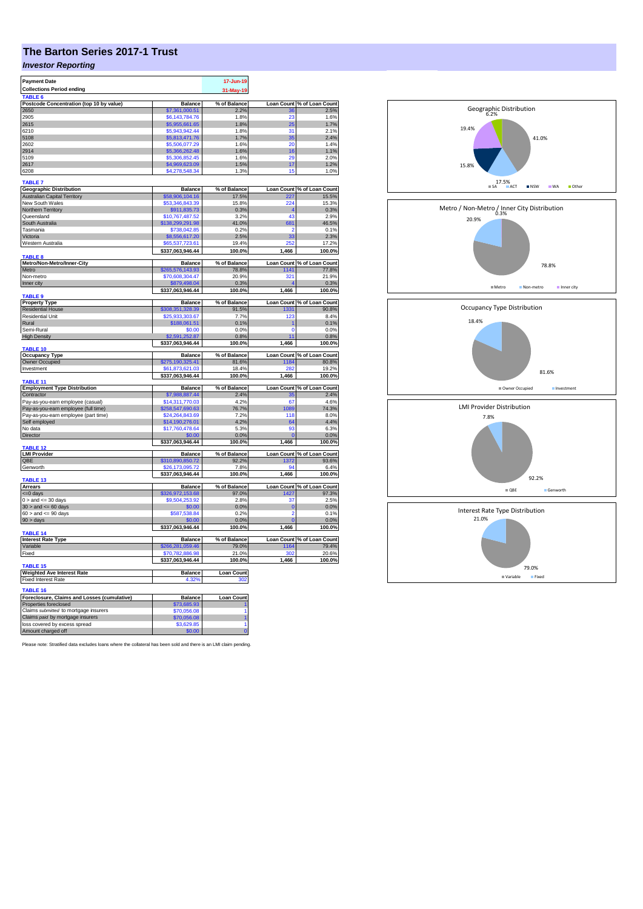## **The Barton Series 2017-1 Trust**

## *Investor Reporting*

| <b>Payment Date</b>                                 |                      | 17-Jun-19           |                |                            |
|-----------------------------------------------------|----------------------|---------------------|----------------|----------------------------|
|                                                     |                      |                     |                |                            |
| <b>Collections Period ending</b>                    |                      | 31-May-19           |                |                            |
| <b>TABLE</b>                                        |                      |                     |                |                            |
| Postcode Concentration (top 10 by value)            | <b>Balance</b>       | % of Balance        |                | Loan Count % of Loan Count |
| 2650                                                | \$7,361,000.51       | 2.2%                | 36             | 2.5%                       |
| 2905                                                | \$6,143,784.76       | 1.8%                | 23             | 1.6%                       |
| 2615                                                | \$5,955,661.65       | 1.8%                | 25             | 1.7%                       |
|                                                     |                      |                     |                |                            |
| 6210                                                | \$5,943,942.44       | 1.8%                | 31             | 2.1%                       |
| 5108                                                | \$5,813,471.76       | 1.7%                | 35             | 2.4%                       |
| 2602                                                | \$5,506,077.29       | 1.6%                | 20             | 1.4%                       |
| 2914                                                | \$5,366,262.48       | 1.6%                | 16             | 1.1%                       |
| 5109                                                | \$5,306,852.45       | 1.6%                | 20             | 2.0%                       |
| 2617                                                | \$4,969,623.09       | 1.5%                | 17             | 1.2%                       |
|                                                     |                      |                     |                |                            |
| 6208                                                | \$4,278,548.34       | 1.3%                | 15             | 1.0%                       |
|                                                     |                      |                     |                |                            |
| <b>TABLE 7</b>                                      |                      |                     |                |                            |
| <b>Geographic Distribution</b>                      | <b>Balance</b>       | % of Balance        |                | Loan Count % of Loan Count |
| <b>Australian Capital Territory</b>                 | \$58,906,104.16      | 17.5%               | 227            | 15.5%                      |
| New South Wales                                     | \$53,346,843.39      | 15.8%               | 224            | 15.3%                      |
| Northern Territory                                  | \$911,835.73         | 0.3%                |                | 0.3%                       |
|                                                     | \$10,767,487.52      | 3.2%                | 43             | 2.9%                       |
| Queensland                                          |                      |                     |                |                            |
| South Australia                                     | \$138,299,291.98     | 41.0%               | 681            | 46.5%                      |
| Tasmania                                            | \$738,042.85         | 0.2%                | 2              | 0.1%                       |
| Victoria                                            | \$8,556,617.20       | 2.5%                | 33             | 2.3%                       |
| Western Australia                                   | \$65,537,723,61      | 19.4%               | 252            | 17.2%                      |
|                                                     |                      |                     |                |                            |
|                                                     | \$337,063,946.44     | 100.0%              | 1,466          | 100.0%                     |
| <b>TABLE 8</b>                                      |                      |                     |                |                            |
| Metro/Non-Metro/Inner-City                          | <b>Balance</b>       | % of Balance        |                | Loan Count % of Loan Count |
| Metro                                               | \$265,576,143.93     | 78.8%               | 1141           | 77.8%                      |
| Non-metro                                           | \$70,608,304.47      | 20.9%               | 321            | 21.9%                      |
| Inner city                                          | \$879,498.04         | 0.3%                |                | 0.3%                       |
|                                                     | \$337,063,946.44     | 100.0%              | 1,466          | 100.0%                     |
| TABLE <sub>9</sub>                                  |                      |                     |                |                            |
|                                                     |                      |                     |                |                            |
| <b>Property Type</b>                                | <b>Balance</b>       | % of Balance        |                | Loan Count % of Loan Count |
| <b>Residential House</b>                            | \$308,351,328.39     | 91.5%               | 1331           | 90.8%                      |
| Residential Unit                                    | \$25,933,303.67      | 7.7%                | 123            | 8.4%                       |
| Rural                                               | \$188,061.51         | 0.1%                |                | 0.1%                       |
| Semi-Rural                                          | \$0.00               | 0.0%                | 0              | 0.0%                       |
| <b>High Density</b>                                 | \$2,591,252.87       | 0.8%                | 11             | 0.8%                       |
|                                                     |                      |                     |                |                            |
|                                                     | \$337,063,946.44     | 100.0%              | 1,466          | 100.0%                     |
| TABLE 10                                            |                      |                     |                |                            |
| <b>Occupancy Type</b>                               | <b>Balance</b>       | % of Balance        |                | Loan Count % of Loan Count |
| Owner Occupied                                      | \$275,190,325.41     | 81.6%               | 1184           | 80.8%                      |
| Investment                                          | \$61,873,621.03      | 18.4%               | 282            | 19.2%                      |
|                                                     | \$337,063,946.44     | 100.0%              | 1,466          | 100.0%                     |
| TABLE <sub>11</sub>                                 |                      |                     |                |                            |
|                                                     | <b>Balance</b>       | % of Balance        |                | Loan Count % of Loan Count |
| <b>Employment Type Distribution</b>                 |                      |                     |                | 2.4%                       |
| Contractor                                          | \$7,988,887.44       | 2.4%                | 35             |                            |
| Pay-as-you-earn employee (casual)                   | \$14,311,770.03      | 4.2%                | 67             | 4.6%                       |
| Pay-as-you-earn employee (full time)                | \$258,547,690.63     | 76.7%               | 1089           | 74.3%                      |
| Pay-as-you-earn employee (part time)                | \$24,264,843.69      | 7.2%                | 118            | 8.0%                       |
| Self employed                                       | \$14,190,276.01      | 4.2%                | 64             | 4.4%                       |
| No data                                             | \$17,760,478.64      | 5.3%                | 93             | 6.3%                       |
|                                                     |                      |                     |                |                            |
| Director                                            | \$0.00               | 0.0%                |                | 0.0%                       |
|                                                     | \$337,063,946.44     | 100.0%              | 1,466          | 100.0%                     |
| <b>TABLE 12</b>                                     |                      |                     |                |                            |
| <b>LMI Provider</b>                                 | <b>Balance</b>       | % of Balance        |                | Loan Count % of Loan Count |
| OBE                                                 | \$310,890,850.72     | 92.2%               | 1372           | 93.6%                      |
| Genworth                                            | \$26,173,095.72      | 7.8%                | 94             | 6.4%                       |
|                                                     | \$337,063,946.44     | 100.0%              | 1,466          | 100.0%                     |
| TABLE 13                                            |                      |                     |                |                            |
|                                                     |                      |                     |                |                            |
| <b>Arrears</b>                                      | <b>Balance</b>       | % of Balance        |                | Loan Count % of Loan Count |
| $= 0$ days                                          | \$326,972,153.68     | 97.0%               | 1427           | 97.3%                      |
| $0 >$ and $\leq$ 30 days                            | \$9,504,253.92       | 2.8%                | 37             | 2.5%                       |
| $30$ > and <= 60 days                               | \$0.00               | 0.0%                | $\overline{0}$ | 0.0%                       |
| $60 >$ and $\leq 90$ days                           | \$587,538.84         | 0.2%                | 2              | 0.1%                       |
| $90 > \text{days}$                                  | \$0.00               | 0.0%                |                | 0.0%                       |
|                                                     | \$337,063,946.44     | 100.0%              | 1,466          |                            |
| <b>TABLE 14</b>                                     |                      |                     |                | 100.0%                     |
|                                                     |                      |                     |                |                            |
| <b>Interest Rate Type</b>                           | <b>Balance</b>       | % of Balance        |                | Loan Count % of Loan Count |
| Variable                                            | \$266.281.059.46     | 79.0%               | 1164           | 79.4%                      |
| Fixed                                               | \$70,782,886.98      | 21.0%               | 302            | 20.6%                      |
|                                                     | \$337,063,946.44     | 100.0%              | 1,466          | 100.0%                     |
| TABLE <sub>15</sub>                                 |                      |                     |                |                            |
|                                                     | Balance              | <b>Loan Count</b>   |                |                            |
| <b>Weighted Ave Interest Rate</b>                   |                      |                     |                |                            |
| <b>Fixed Interest Rate</b>                          | 4.32                 | 302                 |                |                            |
| <b>TABLE 16</b>                                     |                      |                     |                |                            |
|                                                     |                      |                     |                |                            |
| Foreclosure, Claims and Losses (cumulative)         |                      |                     |                |                            |
|                                                     | Balance              | <b>Loan Count</b>   |                |                            |
| Properties foreclosed                               | \$73,685.93          |                     |                |                            |
| Claims submitted to mortgage insurers               | \$70,056.08          | 1                   |                |                            |
|                                                     | \$70,056.08          | 1                   |                |                            |
| Claims paid by mortgage insurers                    |                      |                     |                |                            |
| loss covered by excess spread<br>Amount charged off | \$3,629.85<br>\$0.00 | 1<br>$\overline{0}$ |                |                            |

Please note: Stratified data excludes loans where the collateral has been sold and there is an LMI claim pending.